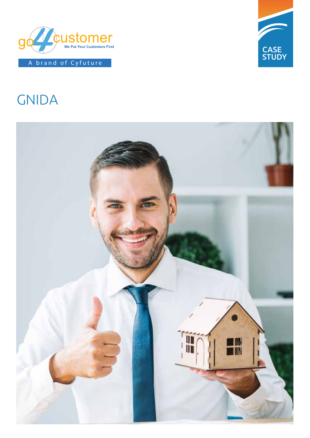



# GNIDA